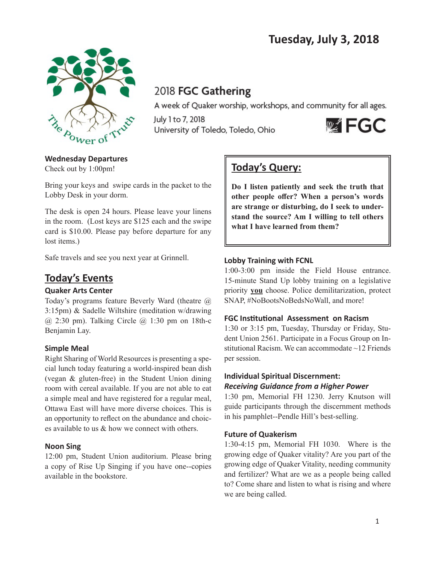

# 2018 FGC Gathering

A week of Quaker worship, workshops, and community for all ages.

July 1 to 7, 2018 University of Toledo, Toledo, Ohio



# **Wednesday Departures**

Check out by 1:00pm!

Bring your keys and swipe cards in the packet to the Lobby Desk in your dorm.

The desk is open 24 hours. Please leave your linens in the room. (Lost keys are \$125 each and the swipe card is \$10.00. Please pay before departure for any lost items.)

Safe travels and see you next year at Grinnell.

# **Today's Events**

# **Quaker Arts Center**

Today's programs feature Beverly Ward (theatre @ 3:15pm) & Sadelle Wiltshire (meditation w/drawing  $(a)$  2:30 pm). Talking Circle  $(a)$  1:30 pm on 18th-c Benjamin Lay.

# **Simple Meal**

Right Sharing of World Resources is presenting a special lunch today featuring a world-inspired bean dish (vegan & gluten-free) in the Student Union dining room with cereal available. If you are not able to eat a simple meal and have registered for a regular meal, Ottawa East will have more diverse choices. This is an opportunity to reflect on the abundance and choices available to us & how we connect with others.

## **Noon Sing**

12:00 pm, Student Union auditorium. Please bring a copy of Rise Up Singing if you have one--copies available in the bookstore.

# **Today's Query:**

**Do I listen patiently and seek the truth that other people offer? When a person's words are strange or disturbing, do I seek to understand the source? Am I willing to tell others what I have learned from them?**

## **Lobby Training with FCNL**

1:00-3:00 pm inside the Field House entrance. 15-minute Stand Up lobby training on a legislative priority **you** choose. Police demilitarization, protect SNAP, #NoBootsNoBedsNoWall, and more!

# **FGC Institutional Assessment on Racism**

1:30 or 3:15 pm, Tuesday, Thursday or Friday, Student Union 2561. Participate in a Focus Group on Institutional Racism. We can accommodate ~12 Friends per session.

## **Individual Spiritual Discernment:** *Receiving Guidance from a Higher Power*

1:30 pm, Memorial FH 1230. Jerry Knutson will guide participants through the discernment methods in his pamphlet--Pendle Hill's best-selling.

## **Future of Quakerism**

1:30-4:15 pm, Memorial FH 1030. Where is the growing edge of Quaker vitality? Are you part of the growing edge of Quaker Vitality, needing community and fertilizer? What are we as a people being called to? Come share and listen to what is rising and where we are being called.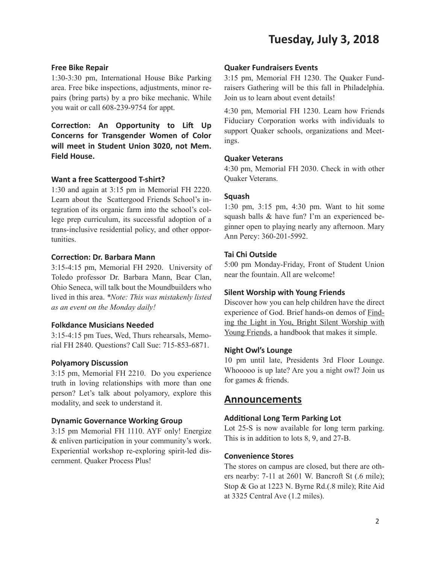# **Tuesday, July 3, 2018**

#### **Free Bike Repair**

1:30-3:30 pm, International House Bike Parking area. Free bike inspections, adjustments, minor repairs (bring parts) by a pro bike mechanic. While you wait or call 608-239-9754 for appt.

**Correction: An Opportunity to Lift Up Concerns for Transgender Women of Color will meet in Student Union 3020, not Mem. Field House.**

#### **Want a free Scattergood T-shirt?**

1:30 and again at 3:15 pm in Memorial FH 2220. Learn about the Scattergood Friends School's integration of its organic farm into the school's college prep curriculum, its successful adoption of a trans-inclusive residential policy, and other opportunities.

#### **Correction: Dr. Barbara Mann**

3:15-4:15 pm, Memorial FH 2920. University of Toledo professor Dr. Barbara Mann, Bear Clan, Ohio Seneca, will talk bout the Moundbuilders who lived in this area. *\*Note: This was mistakenly listed as an event on the Monday daily!*

#### **Folkdance Musicians Needed**

3:15-4:15 pm Tues, Wed, Thurs rehearsals, Memorial FH 2840. Questions? Call Sue: 715-853-6871.

#### **Polyamory Discussion**

3:15 pm, Memorial FH 2210. Do you experience truth in loving relationships with more than one person? Let's talk about polyamory, explore this modality, and seek to understand it.

#### **Dynamic Governance Working Group**

3:15 pm Memorial FH 1110. AYF only! Energize & enliven participation in your community's work. Experiential workshop re-exploring spirit-led discernment. Quaker Process Plus!

#### **Quaker Fundraisers Events**

3:15 pm, Memorial FH 1230. The Quaker Fundraisers Gathering will be this fall in Philadelphia. Join us to learn about event details!

4:30 pm, Memorial FH 1230. Learn how Friends Fiduciary Corporation works with individuals to support Quaker schools, organizations and Meetings.

#### **Quaker Veterans**

4:30 pm, Memorial FH 2030. Check in with other Quaker Veterans.

#### **Squash**

1:30 pm, 3:15 pm, 4:30 pm. Want to hit some squash balls & have fun? I'm an experienced beginner open to playing nearly any afternoon. Mary Ann Percy: 360-201-5992.

### **Tai Chi Outside**

5:00 pm Monday-Friday, Front of Student Union near the fountain. All are welcome!

#### **Silent Worship with Young Friends**

Discover how you can help children have the direct experience of God. Brief hands-on demos of Finding the Light in You, Bright Silent Worship with Young Friends, a handbook that makes it simple.

#### **Night Owl's Lounge**

10 pm until late, Presidents 3rd Floor Lounge. Whooooo is up late? Are you a night owl? Join us for games & friends.

#### **Announcements**

#### **Additional Long Term Parking Lot**

Lot 25-S is now available for long term parking. This is in addition to lots 8, 9, and 27-B.

#### **Convenience Stores**

The stores on campus are closed, but there are others nearby: 7-11 at 2601 W. Bancroft St (.6 mile); Stop & Go at 1223 N. Byrne Rd.(.8 mile); Rite Aid at 3325 Central Ave (1.2 miles).